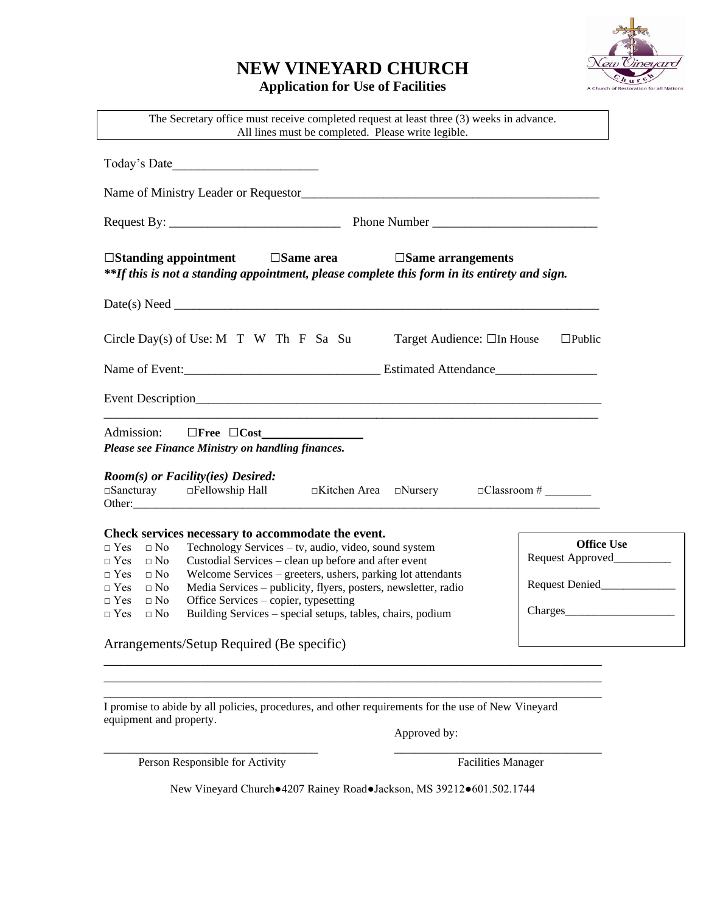## **NEW VINEYARD CHURCH**





\_\_\_\_\_\_\_\_\_\_\_\_\_\_\_\_\_\_\_\_\_\_\_\_\_\_\_\_\_\_\_\_\_\_\_\_\_\_\_\_\_\_\_\_\_\_\_\_\_\_\_\_\_\_\_\_\_\_\_\_\_\_\_\_\_\_\_\_\_\_\_\_ I promise to abide by all policies, procedures, and other requirements for the use of New Vineyard equipment and property.

Approved by:

Person Responsible for Activity Facilities Manager

\_\_\_\_\_\_\_\_\_\_\_\_\_\_\_\_\_\_\_\_\_\_\_\_\_\_\_\_\_\_\_ \_\_\_\_\_\_\_\_\_\_\_\_\_\_\_\_\_\_\_\_\_\_\_\_\_\_\_\_\_\_

New Vineyard Church●4207 Rainey Road●Jackson, MS 39212●601.502.1744

\_\_\_\_\_\_\_\_\_\_\_\_\_\_\_\_\_\_\_\_\_\_\_\_\_\_\_\_\_\_\_\_\_\_\_\_\_\_\_\_\_\_\_\_\_\_\_\_\_\_\_\_\_\_\_\_\_\_\_\_\_\_\_\_\_\_\_\_\_\_\_\_